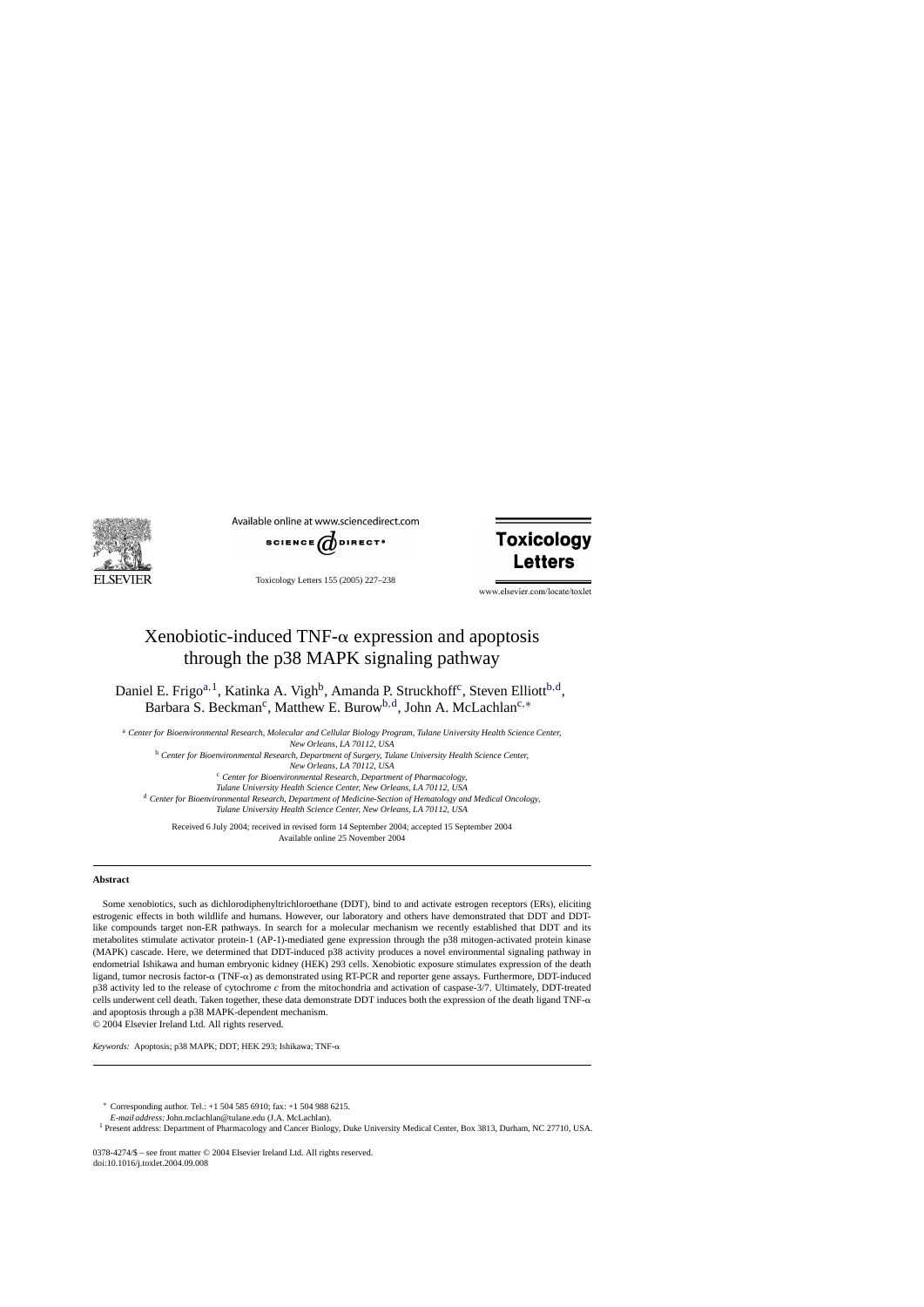

Available online at www.sciencedirect.com



Toxicology Letters 155 (2005) 227–238



www.elsevier.com/locate/toxlet

# Xenobiotic-induced TNF- $\alpha$  expression and apoptosis through the p38 MAPK signaling pathway

Daniel E. Frigo<sup>a, 1</sup>, Katinka A. Vigh<sup>b</sup>, Amanda P. Struckhoff<sup>c</sup>, Steven Elliott<sup>b, d</sup>, Barbara S. Beckman<sup>c</sup>, Matthew E. Burow<sup>b,d</sup>, John A. McLachlan<sup>c,\*</sup>

<sup>a</sup> *Center for Bioenvironmental Research, Molecular and Cellular Biology Program, Tulane University Health Science Center, New Orleans, LA 70112, USA*

<sup>b</sup> *Center for Bioenvironmental Research, Department of Surgery, Tulane University Health Science Center,*

*New Orleans, LA 70112, USA*

<sup>c</sup> *Center for Bioenvironmental Research, Department of Pharmacology,*

*Tulane University Health Science Center, New Orleans, LA 70112, USA*

<sup>d</sup> *Center for Bioenvironmental Research, Department of Medicine-Section of Hematology and Medical Oncology, Tulane University Health Science Center, New Orleans, LA 70112, USA*

Received 6 July 2004; received in revised form 14 September 2004; accepted 15 September 2004 Available online 25 November 2004

#### **Abstract**

Some xenobiotics, such as dichlorodiphenyltrichloroethane (DDT), bind to and activate estrogen receptors (ERs), eliciting estrogenic effects in both wildlife and humans. However, our laboratory and others have demonstrated that DDT and DDTlike compounds target non-ER pathways. In search for a molecular mechanism we recently established that DDT and its metabolites stimulate activator protein-1 (AP-1)-mediated gene expression through the p38 mitogen-activated protein kinase (MAPK) cascade. Here, we determined that DDT-induced p38 activity produces a novel environmental signaling pathway in endometrial Ishikawa and human embryonic kidney (HEK) 293 cells. Xenobiotic exposure stimulates expression of the death ligand, tumor necrosis factor- $\alpha$  (TNF- $\alpha$ ) as demonstrated using RT-PCR and reporter gene assays. Furthermore, DDT-induced p38 activity led to the release of cytochrome *c* from the mitochondria and activation of caspase-3/7. Ultimately, DDT-treated cells underwent cell death. Taken together, these data demonstrate DDT induces both the expression of the death ligand  $TNF-\alpha$ and apoptosis through a p38 MAPK-dependent mechanism.

© 2004 Elsevier Ireland Ltd. All rights reserved.

*Keywords:* Apoptosis; p38 MAPK; DDT; HEK 293; Ishikawa; TNF-

∗ Corresponding author. Tel.: +1 504 585 6910; fax: +1 504 988 6215.

*E-mail address:*John.mclachlan@tulane.edu (J.A. McLachlan).

<sup>1</sup> Present address: Department of Pharmacology and Cancer Biology, Duke University Medical Center, Box 3813, Durham, NC 27710, USA.

0378-4274/\$ – see front matter © 2004 Elsevier Ireland Ltd. All rights reserved. doi:10.1016/j.toxlet.2004.09.008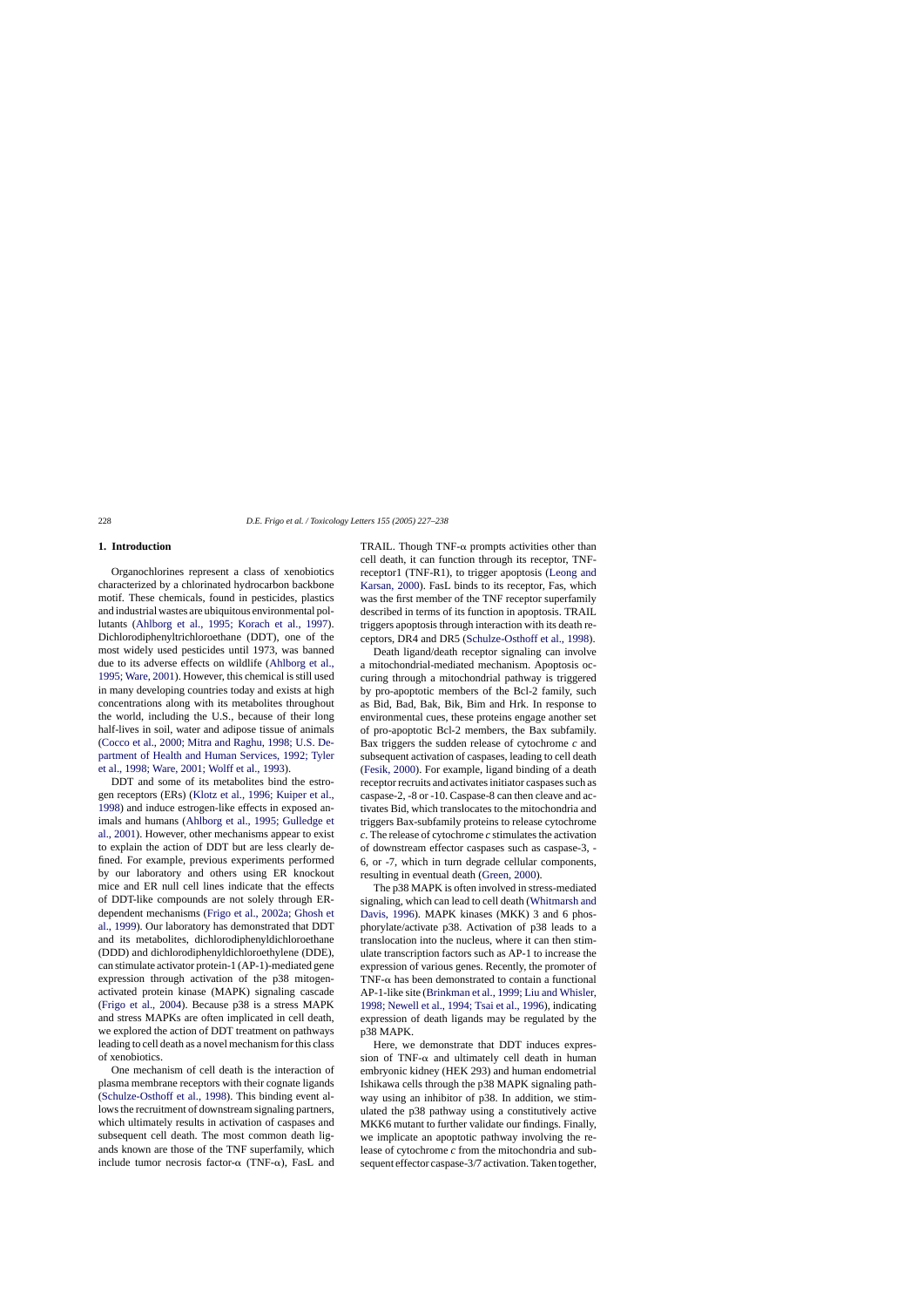## **1. Introduction**

Organochlorines represent a class of xenobiotics characterized by a chlorinated hydrocarbon backbone motif. These chemicals, found in pesticides, plastics and industrial wastes are ubiquitous environmental pollutants ([Ahlborg et al., 1995; Korach et al., 199](#page-9-0)7). Dichlorodiphenyltrichloroethane (DDT), one of the most widely used pesticides until 1973, was banned due to its adverse effects on wildlife ([Ahlborg et al.,](#page-9-0) [1995; Ware, 2001\).](#page-9-0) However, this chemical is still used in many developing countries today and exists at high concentrations along with its metabolites throughout the world, including the U.S., because of their long half-lives in soil, water and adipose tissue of animals ([Cocco et al., 2000; Mitra and Raghu, 1998; U.S. De](#page-9-0)[partment of Health and Human Services, 1992; Tyler](#page-9-0) [et al., 1998; Ware, 2001; Wolff et al., 1993\).](#page-9-0)

DDT and some of its metabolites bind the estrogen receptors (ERs) ([Klotz et al., 1996; Kuiper et al.,](#page-10-0) [1998\)](#page-10-0) and induce estrogen-like effects in exposed animals and humans ([Ahlborg et al., 1995; Gulledge et](#page-9-0) [al., 2001\).](#page-9-0) However, other mechanisms appear to exist to explain the action of DDT but are less clearly defined. For example, previous experiments performed by our laboratory and others using ER knockout mice and ER null cell lines indicate that the effects of DDT-like compounds are not solely through ERdependent mechanisms ([Frigo et al., 2002a; Ghosh et](#page-9-0) [al., 1999\).](#page-9-0) Our laboratory has demonstrated that DDT and its metabolites, dichlorodiphenyldichloroethane (DDD) and dichlorodiphenyldichloroethylene (DDE), can stimulate activator protein-1 (AP-1)-mediated gene expression through activation of the p38 mitogenactivated protein kinase (MAPK) signaling cascade ([Frigo et al., 2004\)](#page-9-0). Because p38 is a stress MAPK and stress MAPKs are often implicated in cell death, we explored the action of DDT treatment on pathways leading to cell death as a novel mechanism for this class of xenobiotics.

One mechanism of cell death is the interaction of plasma membrane receptors with their cognate ligands ([Schulze-Osthoff et al., 1998\).](#page-10-0) This binding event allows the recruitment of downstream signaling partners, which ultimately results in activation of caspases and subsequent cell death. The most common death ligands known are those of the TNF superfamily, which include tumor necrosis factor- $\alpha$  (TNF- $\alpha$ ), FasL and

TRAIL. Though TNF- $\alpha$  prompts activities other than cell death, it can function through its receptor, TNFreceptor1 (TNF-R1), to trigger apoptosis ([Leong and](#page-10-0) [Karsan, 2000\).](#page-10-0) FasL binds to its receptor, Fas, which was the first member of the TNF receptor superfamily described in terms of its function in apoptosis. TRAIL triggers apoptosis through interaction with its death receptors, DR4 and DR5 [\(Schulze-Osthoff et al., 1998\).](#page-10-0)

Death ligand/death receptor signaling can involve a mitochondrial-mediated mechanism. Apoptosis occuring through a mitochondrial pathway is triggered by pro-apoptotic members of the Bcl-2 family, such as Bid, Bad, Bak, Bik, Bim and Hrk. In response to environmental cues, these proteins engage another set of pro-apoptotic Bcl-2 members, the Bax subfamily. Bax triggers the sudden release of cytochrome *c* and subsequent activation of caspases, leading to cell death ([Fesik, 2000\).](#page-9-0) For example, ligand binding of a death receptor recruits and activates initiator caspases such as caspase-2, -8 or -10. Caspase-8 can then cleave and activates Bid, which translocates to the mitochondria and triggers Bax-subfamily proteins to release cytochrome *c*. The release of cytochrome *c* stimulates the activation of downstream effector caspases such as caspase-3, - 6, or -7, which in turn degrade cellular components, resulting in eventual death [\(Green, 2000\).](#page-9-0)

The p38 MAPK is often involved in stress-mediated signaling, which can lead to cell death [\(Whitmarsh and](#page-10-0) [Davis, 1996\).](#page-10-0) MAPK kinases (MKK) 3 and 6 phosphorylate/activate p38. Activation of p38 leads to a translocation into the nucleus, where it can then stimulate transcription factors such as AP-1 to increase the expression of various genes. Recently, the promoter of TNF- $\alpha$  has been demonstrated to contain a functional AP-1-like site ([Brinkman et al., 1999; Liu and Whisler,](#page-9-0) [1998; Newell et al., 1994; Tsai et al., 1996\),](#page-9-0) indicating expression of death ligands may be regulated by the p38 MAPK.

Here, we demonstrate that DDT induces expression of TNF- $\alpha$  and ultimately cell death in human embryonic kidney (HEK 293) and human endometrial Ishikawa cells through the p38 MAPK signaling pathway using an inhibitor of p38. In addition, we stimulated the p38 pathway using a constitutively active MKK6 mutant to further validate our findings. Finally, we implicate an apoptotic pathway involving the release of cytochrome *c* from the mitochondria and subsequent effector caspase-3/7 activation. Taken together,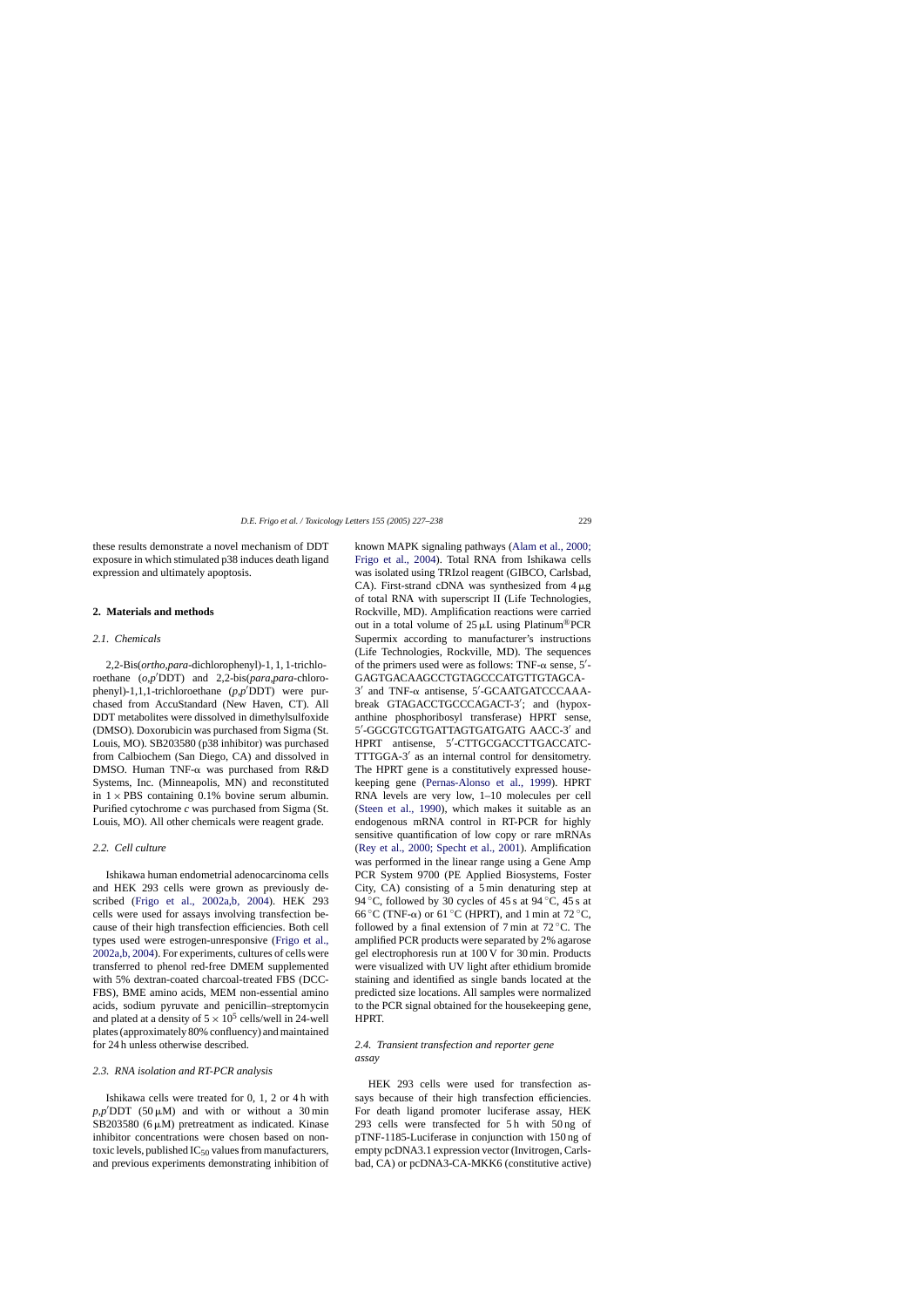<span id="page-2-0"></span>these results demonstrate a novel mechanism of DDT exposure in which stimulated p38 induces death ligand expression and ultimately apoptosis.

#### **2. Materials and methods**

#### *2.1. Chemicals*

2,2-Bis(*ortho*,*para*-dichlorophenyl)-1, 1, 1-trichloroethane (*o*,*p*'DDT) and 2,2-bis(*para*,*para*-chlorophenyl)-1,1,1-trichloroethane (*p*,*p*- DDT) were purchased from AccuStandard (New Haven, CT). All DDT metabolites were dissolved in dimethylsulfoxide (DMSO). Doxorubicin was purchased from Sigma (St. Louis, MO). SB203580 (p38 inhibitor) was purchased from Calbiochem (San Diego, CA) and dissolved in DMSO. Human TNF- $\alpha$  was purchased from R&D Systems, Inc. (Minneapolis, MN) and reconstituted in  $1 \times PBS$  containing 0.1% bovine serum albumin. Purified cytochrome *c* was purchased from Sigma (St. Louis, MO). All other chemicals were reagent grade.

#### *2.2. Cell culture*

Ishikawa human endometrial adenocarcinoma cells and HEK 293 cells were grown as previously described [\(Frigo et al., 2002a,b, 20](#page-9-0)04). HEK 293 cells were used for assays involving transfection because of their high transfection efficiencies. Both cell types used were estrogen-unresponsive [\(Frigo et al.,](#page-9-0) [2002a,b, 2004\).](#page-9-0) For experiments, cultures of cells were transferred to phenol red-free DMEM supplemented with 5% dextran-coated charcoal-treated FBS (DCC-FBS), BME amino acids, MEM non-essential amino acids, sodium pyruvate and penicillin–streptomycin and plated at a density of  $5 \times 10^5$  cells/well in 24-well plates (approximately 80% confluency) and maintained for 24 h unless otherwise described.

## *2.3. RNA isolation and RT-PCR analysis*

Ishikawa cells were treated for 0, 1, 2 or 4 h with  $p, p'$ DDT (50  $\mu$ M) and with or without a 30 min SB203580  $(6 \mu M)$  pretreatment as indicated. Kinase inhibitor concentrations were chosen based on nontoxic levels, published  $IC_{50}$  values from manufacturers, and previous experiments demonstrating inhibition of known MAPK signaling pathways [\(Alam et al., 2000;](#page-9-0) [Frigo et al., 2004](#page-9-0)). Total RNA from Ishikawa cells was isolated using TRIzol reagent (GIBCO, Carlsbad, CA). First-strand cDNA was synthesized from  $4 \mu g$ of total RNA with superscript II (Life Technologies, Rockville, MD). Amplification reactions were carried out in a total volume of  $25 \mu L$  using Platinum<sup>®</sup>PCR Supermix according to manufacturer's instructions (Life Technologies, Rockville, MD). The sequences of the primers used were as follows: TNF- $\alpha$  sense, 5'-GAGTGACAAGCCTGTAGCCCATGTTGTAGCA- $3'$  and TNF- $\alpha$  antisense,  $5'$ -GCAATGATCCCAAAbreak GTAGACCTGCCCAGACT-3'; and (hypoxanthine phosphoribosyl transferase) HPRT sense, 5'-GGCGTCGTGATTAGTGATGATG AACC-3' and HPRT antisense, 5'-CTTGCGACCTTGACCATC-TTTGGA-3' as an internal control for densitometry. The HPRT gene is a constitutively expressed housekeeping gene [\(Pernas-Alonso et al., 1999](#page-10-0)). HPRT RNA levels are very low, 1–10 molecules per cell [\(Steen et al., 1990](#page-10-0)), which makes it suitable as an endogenous mRNA control in RT-PCR for highly sensitive quantification of low copy or rare mRNAs [\(Rey et al., 2000; Specht et al., 2001](#page-10-0)). Amplification was performed in the linear range using a Gene Amp PCR System 9700 (PE Applied Biosystems, Foster City, CA) consisting of a 5 min denaturing step at 94 °C, followed by 30 cycles of 45 s at 94 °C, 45 s at 66 °C (TNF- $\alpha$ ) or 61 °C (HPRT), and 1 min at 72 °C, followed by a final extension of 7 min at  $72^{\circ}$ C. The amplified PCR products were separated by 2% agarose gel electrophoresis run at 100 V for 30 min. Products were visualized with UV light after ethidium bromide staining and identified as single bands located at the predicted size locations. All samples were normalized to the PCR signal obtained for the housekeeping gene, HPRT.

# *2.4. Transient transfection and reporter gene assay*

HEK 293 cells were used for transfection assays because of their high transfection efficiencies. For death ligand promoter luciferase assay, HEK 293 cells were transfected for 5 h with 50 ng of pTNF-1185-Luciferase in conjunction with 150 ng of empty pcDNA3.1 expression vector (Invitrogen, Carlsbad, CA) or pcDNA3-CA-MKK6 (constitutive active)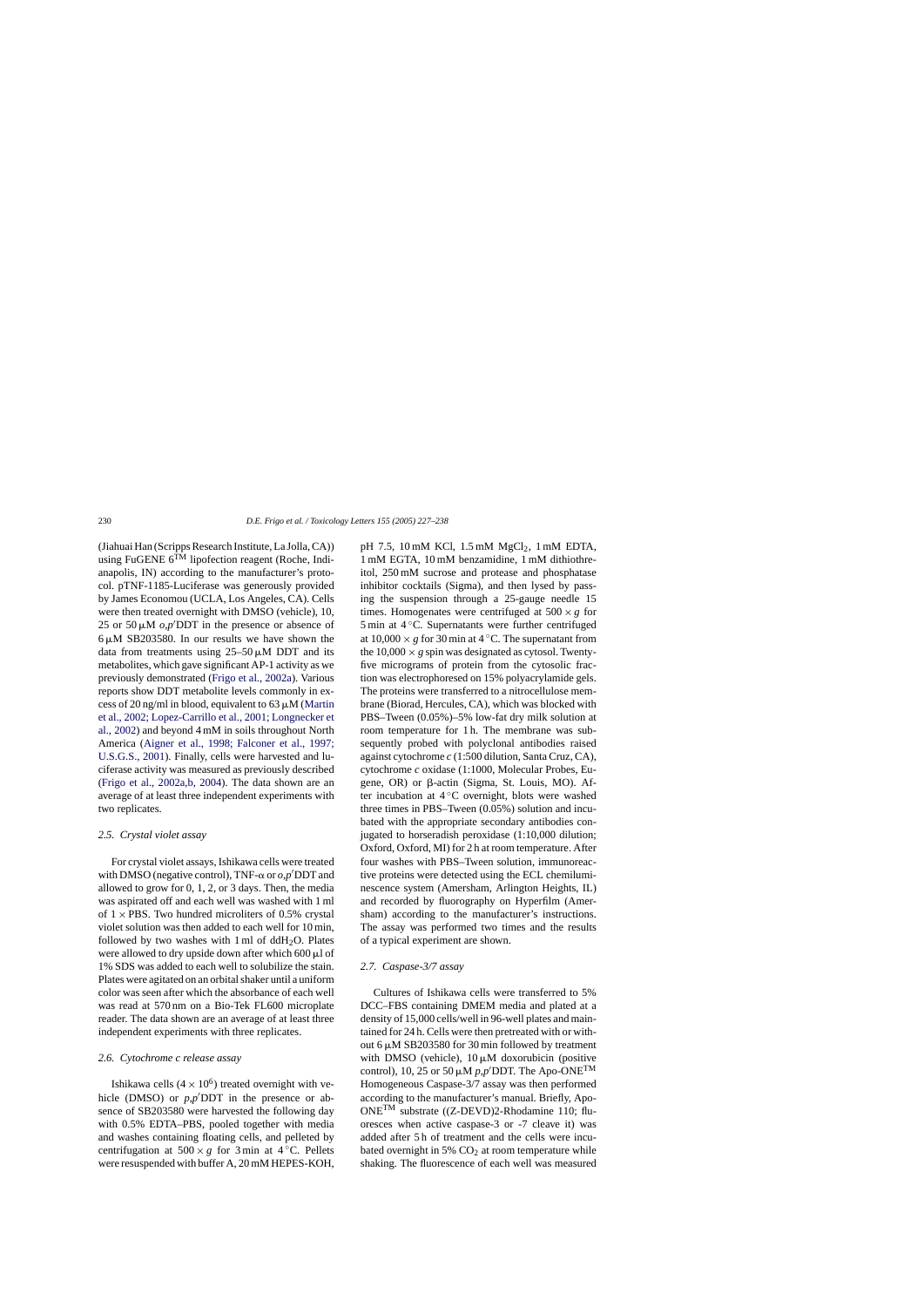(Jiahuai Han (Scripps Research Institute, La Jolla, CA)) using FuGENE  $6^{T\hat{M}}$  lipofection reagent (Roche, Indianapolis, IN) according to the manufacturer's protocol. pTNF-1185-Luciferase was generously provided by James Economou (UCLA, Los Angeles, CA). Cells were then treated overnight with DMSO (vehicle), 10, 25 or 50  $\mu$ M  $o$ , $p'$ DDT in the presence or absence of  $6 \mu$ M SB203580. In our results we have shown the data from treatments using  $25-50 \mu M$  DDT and its metabolites, which gave significant AP-1 activity as we previously demonstrated [\(Frigo et al., 2002a\).](#page-9-0) Various reports show DDT metabolite levels commonly in excess of 20 ng/ml in blood, equivalent to 63  $\mu$ M ([Martin](#page-10-0) [et al., 2002; Lopez-Carrillo et al., 2001; Longnecker et](#page-10-0) [al., 2002\)](#page-10-0) and beyond 4 mM in soils throughout North America [\(Aigner et al., 1998; Falconer et al., 1997](#page-9-0); [U.S.G.S., 2001\).](#page-9-0) Finally, cells were harvested and luciferase activity was measured as previously described ([Frigo et al., 2002a,b, 2004\)](#page-9-0). The data shown are an average of at least three independent experiments with two replicates.

### *2.5. Crystal violet assay*

For crystal violet assays, Ishikawa cells were treated with DMSO (negative control), TNF- $\alpha$  or  $o, p'$ DDT and allowed to grow for 0, 1, 2, or 3 days. Then, the media was aspirated off and each well was washed with 1 ml of  $1 \times$  PBS. Two hundred microliters of 0.5% crystal violet solution was then added to each well for 10 min, followed by two washes with  $1 \text{ ml}$  of ddH<sub>2</sub>O. Plates were allowed to dry upside down after which  $600 \mu l$  of 1% SDS was added to each well to solubilize the stain. Plates were agitated on an orbital shaker until a uniform color was seen after which the absorbance of each well was read at 570 nm on a Bio-Tek FL600 microplate reader. The data shown are an average of at least three independent experiments with three replicates.

# *2.6. Cytochrome c release assay*

Ishikawa cells  $(4 \times 10^6)$  treated overnight with vehicle (DMSO) or  $p, p'$ DDT in the presence or absence of SB203580 were harvested the following day with 0.5% EDTA–PBS, pooled together with media and washes containing floating cells, and pelleted by centrifugation at  $500 \times g$  for 3 min at 4 °C. Pellets were resuspended with buffer A, 20 mM HEPES-KOH, pH 7.5, 10 mM KCl, 1.5 mM MgCl<sub>2</sub>, 1 mM EDTA, 1 mM EGTA, 10 mM benzamidine, 1 mM dithiothreitol, 250 mM sucrose and protease and phosphatase inhibitor cocktails (Sigma), and then lysed by passing the suspension through a 25-gauge needle 15 times. Homogenates were centrifuged at  $500 \times g$  for 5 min at 4 ℃. Supernatants were further centrifuged at  $10.000 \times g$  for 30 min at 4 °C. The supernatant from the  $10,000 \times g$  spin was designated as cytosol. Twentyfive micrograms of protein from the cytosolic fraction was electrophoresed on 15% polyacrylamide gels. The proteins were transferred to a nitrocellulose membrane (Biorad, Hercules, CA), which was blocked with PBS–Tween (0.05%)–5% low-fat dry milk solution at room temperature for 1 h. The membrane was subsequently probed with polyclonal antibodies raised against cytochrome *c* (1:500 dilution, Santa Cruz, CA), cytochrome *c* oxidase (1:1000, Molecular Probes, Eugene, OR) or  $\beta$ -actin (Sigma, St. Louis, MO). After incubation at  $4^\circ$ C overnight, blots were washed three times in PBS–Tween (0.05%) solution and incubated with the appropriate secondary antibodies conjugated to horseradish peroxidase (1:10,000 dilution; Oxford, Oxford, MI) for 2 h at room temperature. After four washes with PBS–Tween solution, immunoreactive proteins were detected using the ECL chemiluminescence system (Amersham, Arlington Heights, IL) and recorded by fluorography on Hyperfilm (Amersham) according to the manufacturer's instructions. The assay was performed two times and the results of a typical experiment are shown.

## *2.7. Caspase-3/7 assay*

Cultures of Ishikawa cells were transferred to 5% DCC–FBS containing DMEM media and plated at a density of 15,000 cells/well in 96-well plates and maintained for 24 h. Cells were then pretreated with or without 6  $\mu$ M SB203580 for 30 min followed by treatment with DMSO (vehicle),  $10 \mu M$  doxorubicin (positive control), 10, 25 or 50  $\mu$ M *p*,*p*<sup> $\prime$ </sup>DDT. The Apo-ONE<sup>TM</sup> Homogeneous Caspase-3/7 assay was then performed according to the manufacturer's manual. Briefly, Apo-ONETM substrate ((Z-DEVD)2-Rhodamine 110; fluoresces when active caspase-3 or -7 cleave it) was added after 5 h of treatment and the cells were incubated overnight in 5%  $CO<sub>2</sub>$  at room temperature while shaking. The fluorescence of each well was measured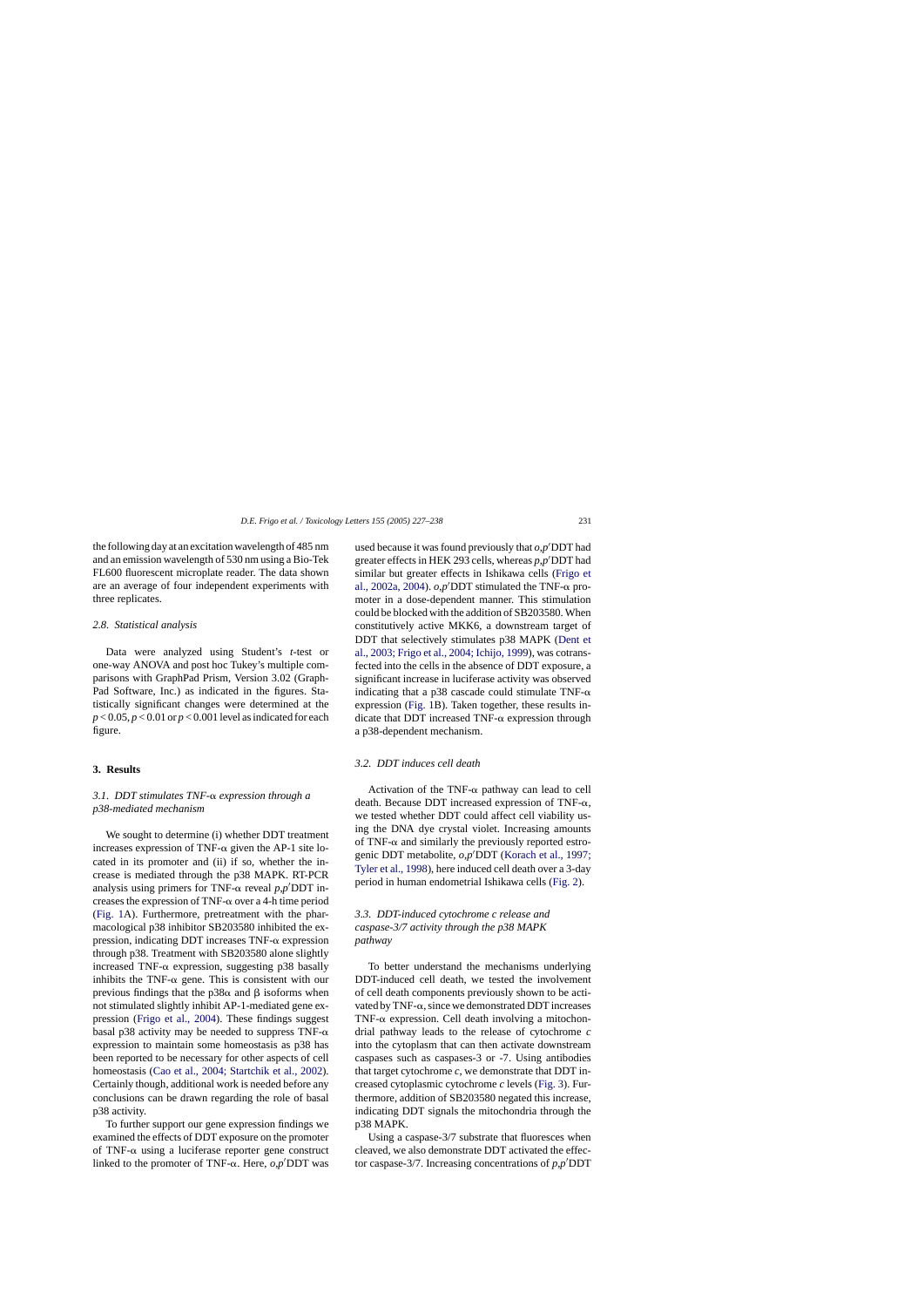the following day at an excitation wavelength of 485 nm and an emission wavelength of 530 nm using a Bio-Tek FL600 fluorescent microplate reader. The data shown are an average of four independent experiments with three replicates.

#### *2.8. Statistical analysis*

Data were analyzed using Student's *t*-test or one-way ANOVA and post hoc Tukey's multiple comparisons with GraphPad Prism, Version 3.02 (Graph-Pad Software, Inc.) as indicated in the figures. Statistically significant changes were determined at the  $p < 0.05$ ,  $p < 0.01$  or  $p < 0.001$  level as indicated for each figure.

## **3. Results**

# *3.1. DDT stimulates TNF- expression through a p38-mediated mechanism*

We sought to determine (i) whether DDT treatment increases expression of TNF- $\alpha$  given the AP-1 site located in its promoter and (ii) if so, whether the increase is mediated through the p38 MAPK. RT-PCR analysis using primers for TNF- $\alpha$  reveal  $p$ , $p'$ DDT increases the expression of TNF- $\alpha$  over a 4-h time period ([Fig. 1A](#page-5-0)). Furthermore, pretreatment with the pharmacological p38 inhibitor SB203580 inhibited the expression, indicating DDT increases  $TNF-\alpha$  expression through p38. Treatment with SB203580 alone slightly increased TNF- $\alpha$  expression, suggesting p38 basally inhibits the TNF- $\alpha$  gene. This is consistent with our previous findings that the  $p38\alpha$  and  $\beta$  isoforms when not stimulated slightly inhibit AP-1-mediated gene expression ([Frigo et al., 2004\)](#page-9-0). These findings suggest basal p38 activity may be needed to suppress TNF- $\alpha$ expression to maintain some homeostasis as p38 has been reported to be necessary for other aspects of cell homeostasis ([Cao et al., 2004; Startchik et al., 2002\)](#page-9-0). Certainly though, additional work is needed before any conclusions can be drawn regarding the role of basal p38 activity.

To further support our gene expression findings we examined the effects of DDT exposure on the promoter of TNF- $\alpha$  using a luciferase reporter gene construct linked to the promoter of TNF- $\alpha$ . Here,  $o, p'$ DDT was

used because it was found previously that  $o, p'$ DDT had greater effects in HEK 293 cells, whereas  $p, p'$ DDT had similar but greater effects in Ishikawa cells ([Frigo et](#page-9-0) [al., 2002a, 2004\).](#page-9-0)  $o, p'$ DDT stimulated the TNF- $\alpha$  promoter in a dose-dependent manner. This stimulation could be blocked with the addition of SB203580. When constitutively active MKK6, a downstream target of DDT that selectively stimulates p38 MAPK [\(Dent et](#page-9-0) [al., 2003; Frigo et al., 2004; Ichijo, 1999\), w](#page-9-0)as cotransfected into the cells in the absence of DDT exposure, a significant increase in luciferase activity was observed indicating that a p38 cascade could stimulate TNF- $\alpha$ expression [\(Fig. 1B](#page-5-0)). Taken together, these results indicate that DDT increased TNF- $\alpha$  expression through a p38-dependent mechanism.

#### *3.2. DDT induces cell death*

Activation of the TNF- $\alpha$  pathway can lead to cell death. Because DDT increased expression of TNF- $\alpha$ , we tested whether DDT could affect cell viability using the DNA dye crystal violet. Increasing amounts of TNF- $\alpha$  and similarly the previously reported estrogenic DDT metabolite, *o*,*p*- DDT ([Korach et al., 1997;](#page-10-0) [Tyler et al., 1998\),](#page-10-0) here induced cell death over a 3-day period in human endometrial Ishikawa cells ([Fig. 2\).](#page-6-0)

# *3.3. DDT-induced cytochrome c release and caspase-3/7 activity through the p38 MAPK pathway*

To better understand the mechanisms underlying DDT-induced cell death, we tested the involvement of cell death components previously shown to be activated by TNF- $\alpha$ , since we demonstrated DDT increases TNF- $\alpha$  expression. Cell death involving a mitochondrial pathway leads to the release of cytochrome *c* into the cytoplasm that can then activate downstream caspases such as caspases-3 or -7. Using antibodies that target cytochrome  $c$ , we demonstrate that DDT increased cytoplasmic cytochrome *c* levels ([Fig. 3\).](#page-6-0) Furthermore, addition of SB203580 negated this increase, indicating DDT signals the mitochondria through the p38 MAPK.

Using a caspase-3/7 substrate that fluoresces when cleaved, we also demonstrate DDT activated the effector caspase-3/7. Increasing concentrations of  $p, p'$ DDT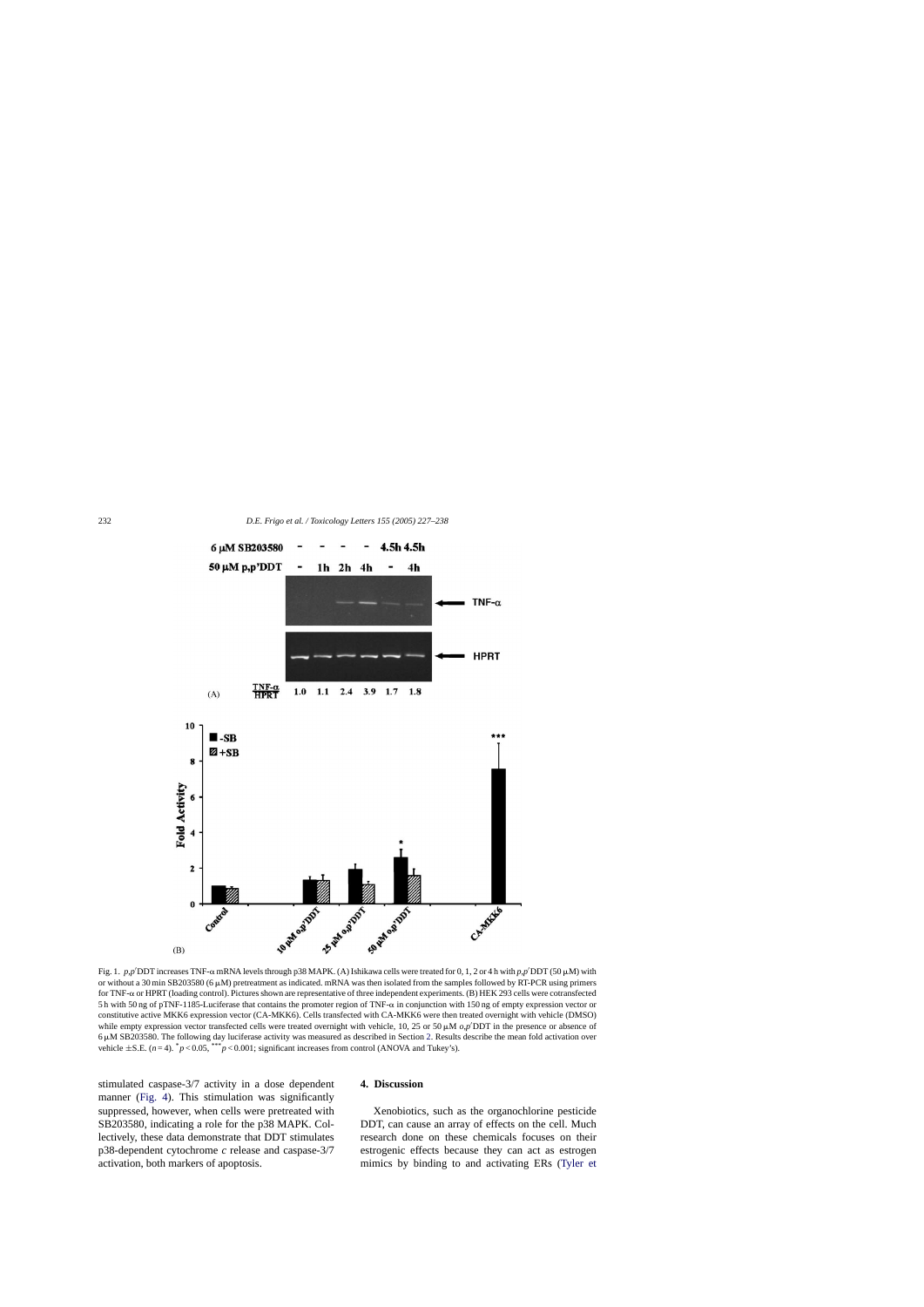<span id="page-5-0"></span>

Fig. 1.  $p, p'$ DDT increases TNF- $\alpha$  mRNA levels through p38 MAPK. (A) Ishikawa cells were treated for 0, 1, 2 or 4 h with  $p, p'$ DDT (50  $\mu$ M) with or without a 30 min SB203580 (6  $\mu$ M) pretreatment as indicated. mRNA was then isolated from the samples followed by RT-PCR using primers for TNF- or HPRT (loading control). Pictures shown are representative of three independent experiments. (B) HEK 293 cells were cotransfected 5h with 50 ng of pTNF-1185-Luciferase that contains the promoter region of TNF- $\alpha$  in conjunction with 150 ng of empty expression vector or constitutive active MKK6 expression vector (CA-MKK6). Cells transfected with CA-MKK6 were then treated overnight with vehicle (DMSO) while empty expression vector transfected cells were treated overnight with vehicle, 10, 25 or 50  $\mu$ M  $o$ , $p'$ DDT in the presence or absence of 6-M SB203580. The following day luciferase activity was measured as described in Section [2. R](#page-2-0)esults describe the mean fold activation over vehicle  $\pm$ S.E. (*n* = 4).  $^{*}p$  < 0.05, \*\*\**p* < 0.001; significant increases from control (ANOVA and Tukey's).

stimulated caspase-3/7 activity in a dose dependent manner [\(Fig. 4\)](#page-7-0). This stimulation was significantly suppressed, however, when cells were pretreated with SB203580, indicating a role for the p38 MAPK. Collectively, these data demonstrate that DDT stimulates p38-dependent cytochrome *c* release and caspase-3/7 activation, both markers of apoptosis.

# **4. Discussion**

Xenobiotics, such as the organochlorine pesticide DDT, can cause an array of effects on the cell. Much research done on these chemicals focuses on their estrogenic effects because they can act as estrogen mimics by binding to and activating ERs [\(Tyler et](#page-10-0)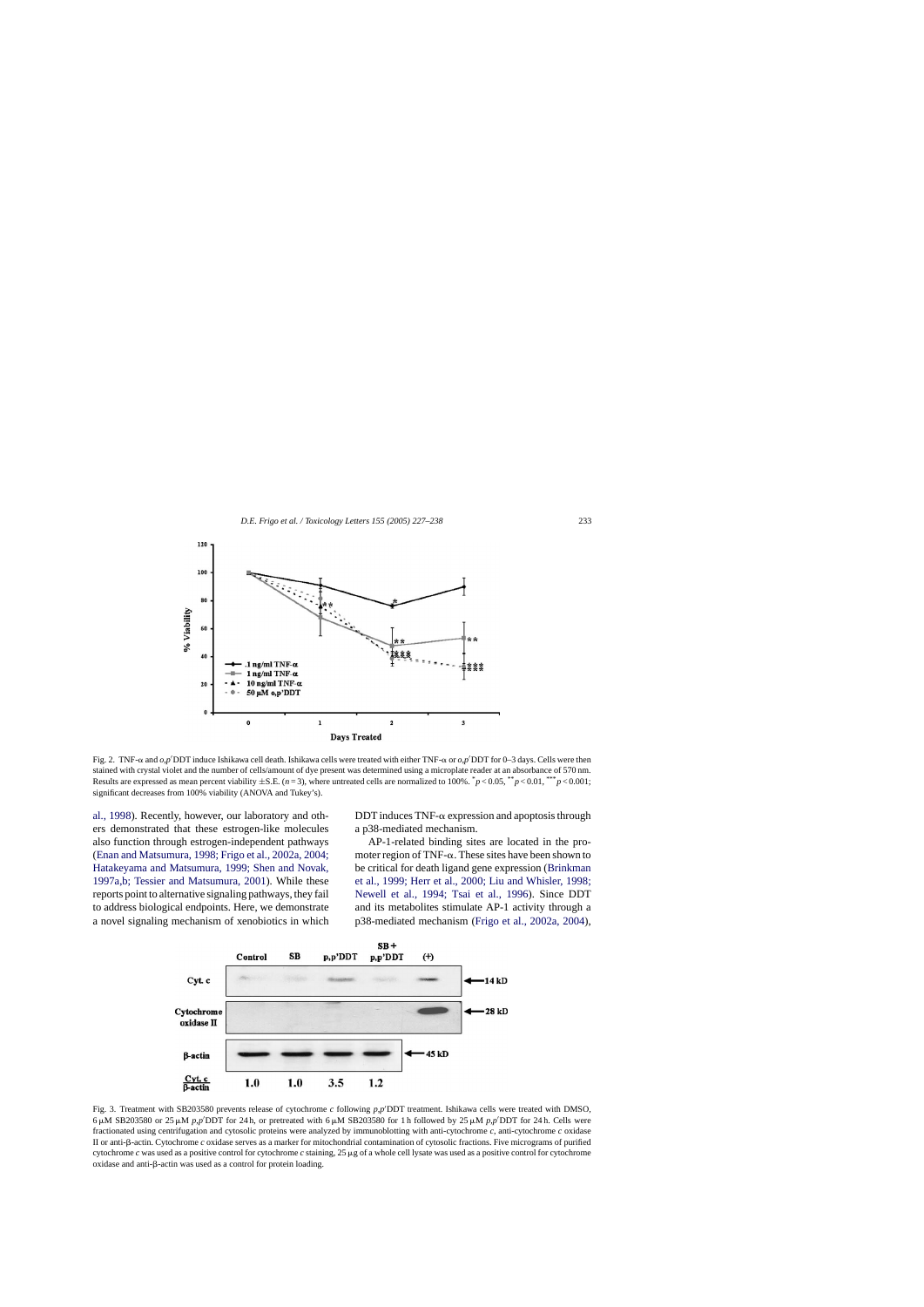<span id="page-6-0"></span>

Fig. 2. TNF- $\alpha$  and  $o$ , $p'$ DDT induce Ishikawa cell death. Ishikawa cells were treated with either TNF- $\alpha$  or  $o$ , $p'$ DDT for 0–3 days. Cells were then stained with crystal violet and the number of cells/amount of dye present was determined using a microplate reader at an absorbance of 570 nm. Results are expressed as mean percent viability  $\pm$ S.E. (*n* = 3), where untreated cells are normalized to 100%.  $\bar{p}$  < 0.05,  $\bar{p}$   $\approx$  0.001,  $\bar{p}$  < 0.001; significant decreases from 100% viability (ANOVA and Tukey's).

[al., 1998\).](#page-10-0) Recently, however, our laboratory and others demonstrated that these estrogen-like molecules also function through estrogen-independent pathways ([Enan and Matsumura, 1998; Frigo et al., 2002a, 2004;](#page-9-0) [Hatakeyama and Matsumura, 1999; Shen and Novak,](#page-9-0) [1997a,b; Tessier and Matsumura, 2001\)](#page-9-0). While these reports point to alternative signaling pathways, they fail to address biological endpoints. Here, we demonstrate a novel signaling mechanism of xenobiotics in which DDT induces TNF- $\alpha$  expression and apoptosis through a p38-mediated mechanism.

AP-1-related binding sites are located in the promoter region of TNF- $\alpha$ . These sites have been shown to be critical for death ligand gene expression [\(Brinkman](#page-9-0) [et al., 1999; Herr et al., 2000; Liu and Whisler, 1998;](#page-9-0) [Newell et al., 1994; Tsai et al., 199](#page-9-0)6). Since DDT and its metabolites stimulate AP-1 activity through a p38-mediated mechanism [\(Frigo et al., 2002a, 2004\)](#page-9-0),



Fig. 3. Treatment with SB203580 prevents release of cytochrome *c* following *p*,*p*<sup>*(DDT* treatment. Ishikawa cells were treated with DMSO,</sup>  $6 \mu$ M SB203580 or 25  $\mu$ M *p*,*p*<sup> $\prime$ </sup>DDT for 24 h, or pretreated with  $6 \mu$ M SB203580 for 1 h followed by 25  $\mu$ M *p*,*p*<sup> $\prime$ </sup>DDT for 24 h. Cells were fractionated using centrifugation and cytosolic proteins were analyzed by immunoblotting with anti-cytochrome *c*, anti-cytochrome *c* oxidase II or anti- $\beta$ -actin. Cytochrome *c* oxidase serves as a marker for mitochondrial contamination of cytosolic fractions. Five micrograms of purified cytochrome  $c$  was used as a positive control for cytochrome  $c$  staining, 25  $\mu$ g of a whole cell lysate was used as a positive control for cytochrome  $oxidase$  and anti- $\beta$ -actin was used as a control for protein loading.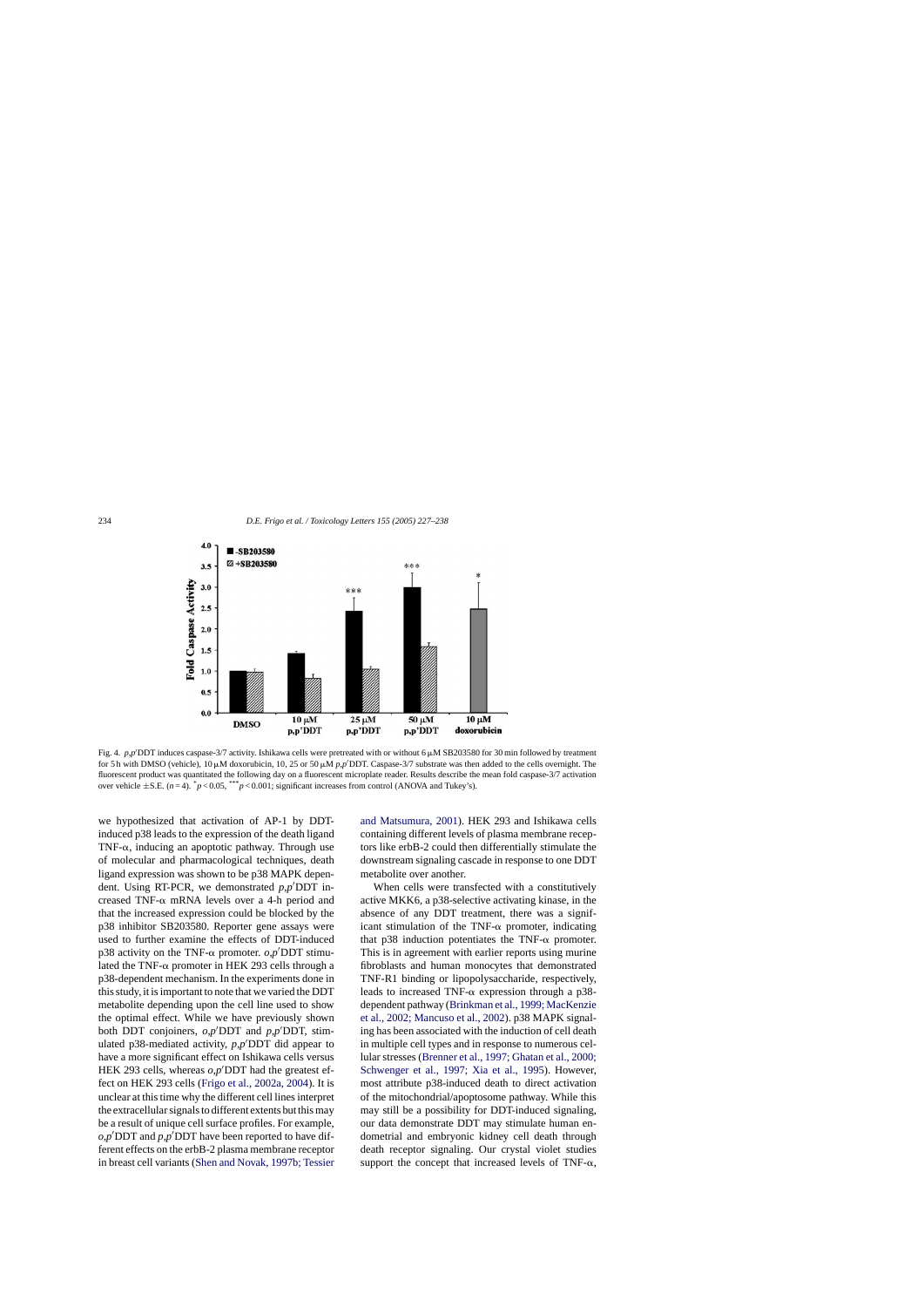<span id="page-7-0"></span>

Fig. 4. p.p<sup>/</sup>DDT induces caspase-3/7 activity. Ishikawa cells were pretreated with or without 6  $\mu$ M SB203580 for 30 min followed by treatment for 5 h with DMSO (vehicle),  $10 \mu$ M doxorubicin,  $10, 25$  or 50  $\mu$ M *p*, $p$ <sup>*I*</sup>DDT. Caspase-3/7 substrate was then added to the cells overnight. The fluorescent product was quantitated the following day on a fluorescent microplate reader. Results describe the mean fold caspase-3/7 activation over vehicle  $\pm$ S.E. ( $n=4$ ).  $p<0.05$ , \*\*\* $p<0.001$ ; significant increases from control (ANOVA and Tukey's).

we hypothesized that activation of AP-1 by DDTinduced p38 leads to the expression of the death ligand TNF- $\alpha$ , inducing an apoptotic pathway. Through use of molecular and pharmacological techniques, death ligand expression was shown to be p38 MAPK dependent. Using RT-PCR, we demonstrated  $p, p'$ DDT increased TNF- $\alpha$  mRNA levels over a 4-h period and that the increased expression could be blocked by the p38 inhibitor SB203580. Reporter gene assays were used to further examine the effects of DDT-induced p38 activity on the TNF- $\alpha$  promoter.  $o, p'$ DDT stimulated the TNF- $\alpha$  promoter in HEK 293 cells through a p38-dependent mechanism. In the experiments done in this study, it is important to note that we varied the DDT metabolite depending upon the cell line used to show the optimal effect. While we have previously shown both DDT conjoiners,  $o, p'$ DDT and  $p, p'$ DDT, stimulated p38-mediated activity, *p*,*p*<sup> $\prime$ </sup>DDT did appear to have a more significant effect on Ishikawa cells versus HEK 293 cells, whereas  $o, p'$ DDT had the greatest effect on HEK 293 cells ([Frigo et al., 2002a, 2004\).](#page-9-0) It is unclear at this time why the different cell lines interpret the extracellular signals to different extents but this may be a result of unique cell surface profiles. For example,  $o$ , $p'$ DDT and  $p$ , $p'$ DDT have been reported to have different effects on the erbB-2 plasma membrane receptor in breast cell variants [\(Shen and Novak, 1997b; Tessier](#page-10-0) [and Matsumura, 2001\).](#page-10-0) HEK 293 and Ishikawa cells containing different levels of plasma membrane receptors like erbB-2 could then differentially stimulate the downstream signaling cascade in response to one DDT metabolite over another.

When cells were transfected with a constitutively active MKK6, a p38-selective activating kinase, in the absence of any DDT treatment, there was a significant stimulation of the TNF- $\alpha$  promoter, indicating that p38 induction potentiates the TNF- $\alpha$  promoter. This is in agreement with earlier reports using murine fibroblasts and human monocytes that demonstrated TNF-R1 binding or lipopolysaccharide, respectively, leads to increased TNF- $\alpha$  expression through a p38dependent pathway ([Brinkman et al., 1999; MacKenzie](#page-9-0) [et al., 2002; Mancuso et al., 2002\).](#page-9-0) p38 MAPK signaling has been associated with the induction of cell death in multiple cell types and in response to numerous cellular stresses ([Brenner et al., 1997; Ghatan et al., 2000;](#page-9-0) [Schwenger et al., 1997; Xia et al., 199](#page-9-0)5). However, most attribute p38-induced death to direct activation of the mitochondrial/apoptosome pathway. While this may still be a possibility for DDT-induced signaling, our data demonstrate DDT may stimulate human endometrial and embryonic kidney cell death through death receptor signaling. Our crystal violet studies support the concept that increased levels of TNF- $\alpha$ ,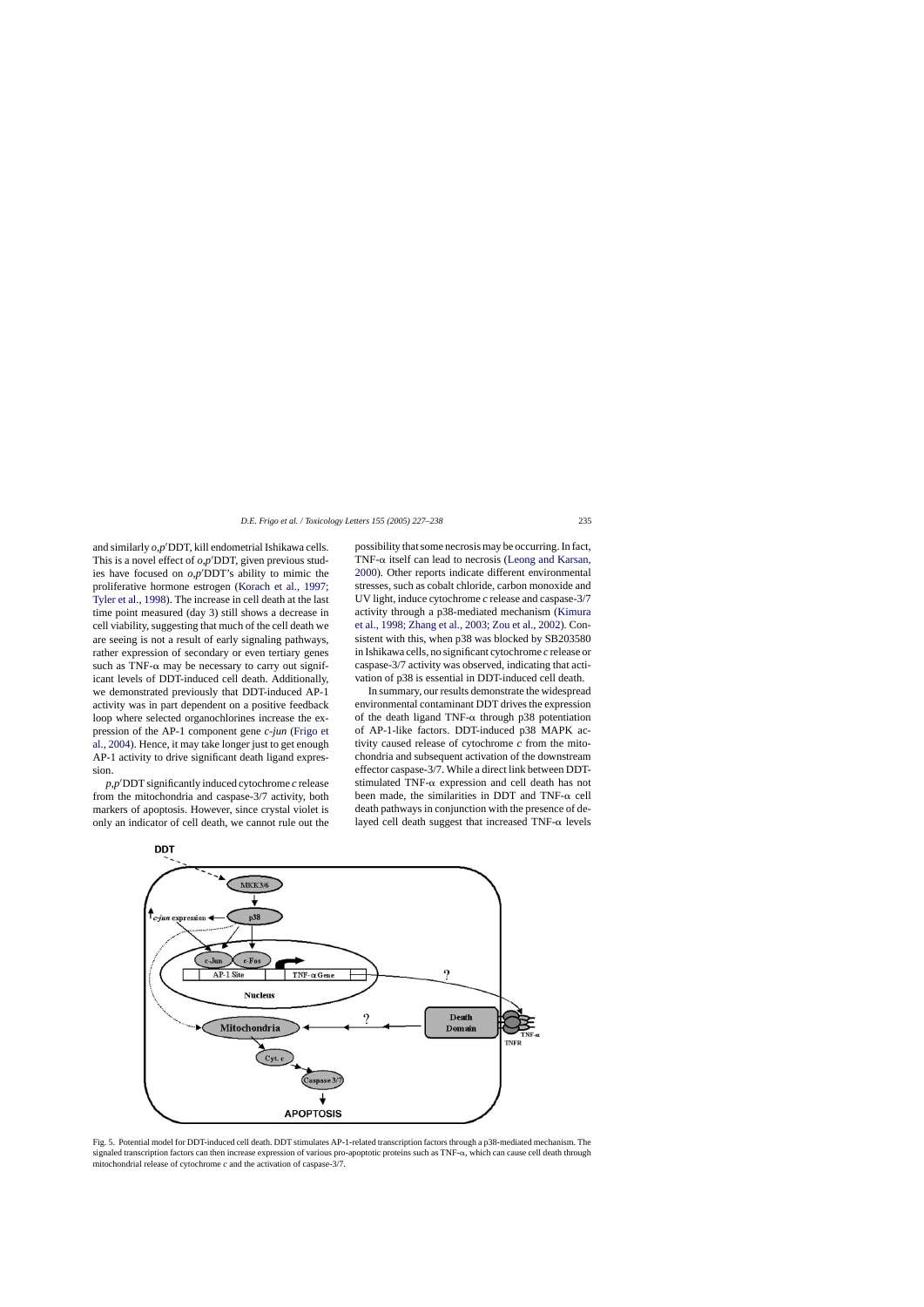<span id="page-8-0"></span>and similarly  $o, p'$ DDT, kill endometrial Ishikawa cells. This is a novel effect of  $o, p'$ DDT, given previous studies have focused on  $o, p'$ DDT's ability to mimic the proliferative hormone estrogen [\(Korach et al., 1997;](#page-10-0) [Tyler et al., 1998\).](#page-10-0) The increase in cell death at the last time point measured (day 3) still shows a decrease in cell viability, suggesting that much of the cell death we are seeing is not a result of early signaling pathways, rather expression of secondary or even tertiary genes such as TNF- $\alpha$  may be necessary to carry out significant levels of DDT-induced cell death. Additionally, we demonstrated previously that DDT-induced AP-1 activity was in part dependent on a positive feedback loop where selected organochlorines increase the expression of the AP-1 component gene *c-jun* ([Frigo et](#page-9-0) [al., 2004\).](#page-9-0) Hence, it may take longer just to get enough AP-1 activity to drive significant death ligand expression.

*p*,*p*- DDT significantly induced cytochrome *c* release from the mitochondria and caspase-3/7 activity, both markers of apoptosis. However, since crystal violet is only an indicator of cell death, we cannot rule out the possibility that some necrosis may be occurring. In fact, TNF- $\alpha$  itself can lead to necrosis ([Leong and Karsan,](#page-10-0) [2000\).](#page-10-0) Other reports indicate different environmental stresses, such as cobalt chloride, carbon monoxide and UV light, induce cytochrome *c* release and caspase-3/7 activity through a p38-mediated mechanism [\(Kimura](#page-10-0) [et al., 1998; Zhang et al., 2003; Zou et al., 2002\).](#page-10-0) Consistent with this, when p38 was blocked by SB203580 in Ishikawa cells, no significant cytochrome *c* release or caspase-3/7 activity was observed, indicating that activation of p38 is essential in DDT-induced cell death.

In summary, our results demonstrate the widespread environmental contaminant DDT drives the expression of the death ligand TNF- $\alpha$  through p38 potentiation of AP-1-like factors. DDT-induced p38 MAPK activity caused release of cytochrome *c* from the mitochondria and subsequent activation of the downstream effector caspase-3/7. While a direct link between DDTstimulated TNF- $\alpha$  expression and cell death has not been made, the similarities in DDT and TNF- $\alpha$  cell death pathways in conjunction with the presence of delayed cell death suggest that increased TNF- $\alpha$  levels



Fig. 5. Potential model for DDT-induced cell death. DDT stimulates AP-1-related transcription factors through a p38-mediated mechanism. The signaled transcription factors can then increase expression of various pro-apoptotic proteins such as  $TNF-\alpha$ , which can cause cell death through mitochondrial release of cytochrome *c* and the activation of caspase-3/7.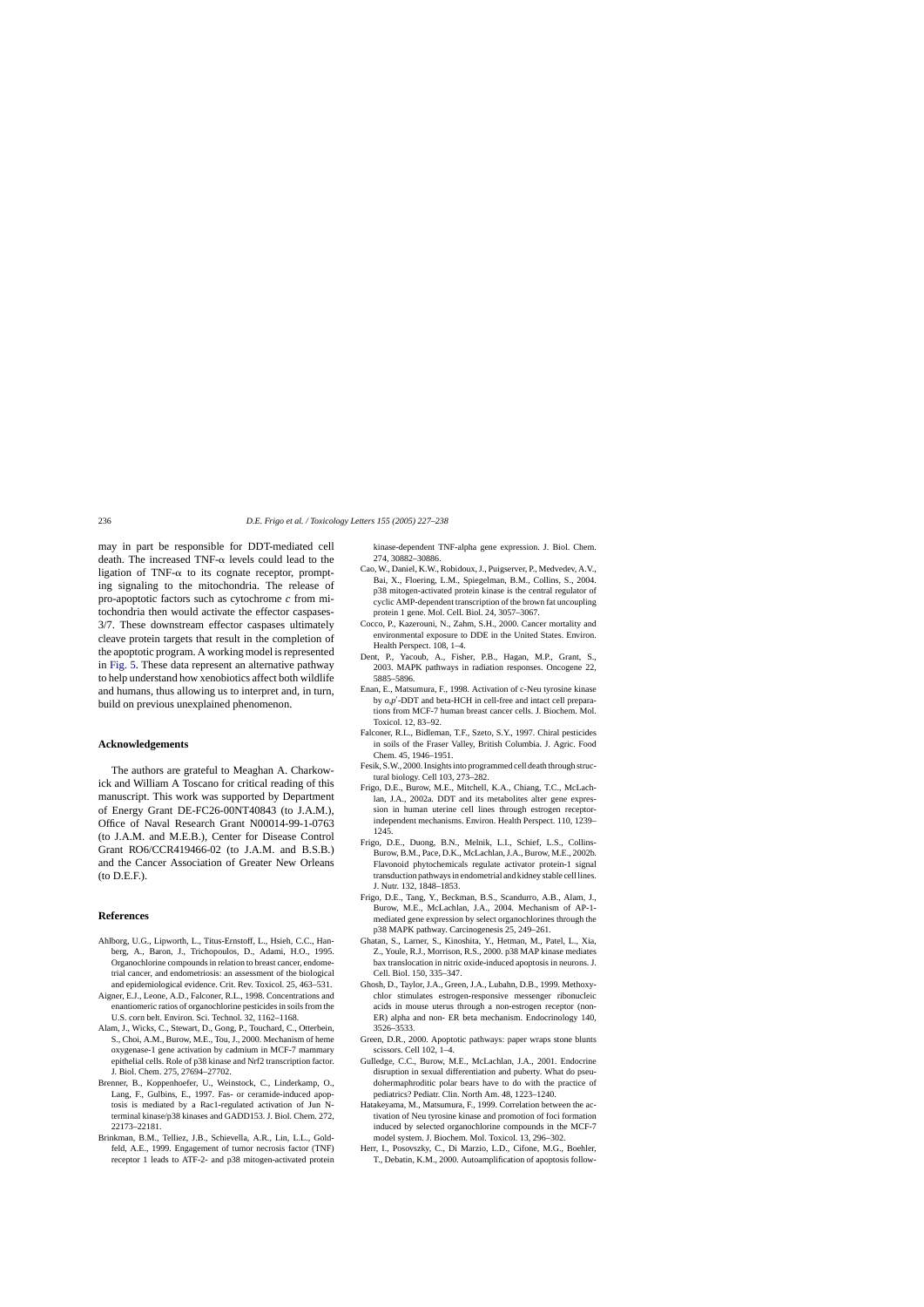<span id="page-9-0"></span>may in part be responsible for DDT-mediated cell death. The increased TNF- $\alpha$  levels could lead to the ligation of TNF- $\alpha$  to its cognate receptor, prompting signaling to the mitochondria. The release of pro-apoptotic factors such as cytochrome *c* from mitochondria then would activate the effector caspases-3/7. These downstream effector caspases ultimately cleave protein targets that result in the completion of the apoptotic program. A working model is represented in [Fig. 5.](#page-8-0) These data represent an alternative pathway to help understand how xenobiotics affect both wildlife and humans, thus allowing us to interpret and, in turn, build on previous unexplained phenomenon.

#### **Acknowledgements**

The authors are grateful to Meaghan A. Charkowick and William A Toscano for critical reading of this manuscript. This work was supported by Department of Energy Grant DE-FC26-00NT40843 (to J.A.M.), Office of Naval Research Grant N00014-99-1-0763 (to J.A.M. and M.E.B.), Center for Disease Control Grant RO6/CCR419466-02 (to J.A.M. and B.S.B.) and the Cancer Association of Greater New Orleans (to D.E.F.).

#### **References**

- Ahlborg, U.G., Lipworth, L., Titus-Ernstoff, L., Hsieh, C.C., Hanberg, A., Baron, J., Trichopoulos, D., Adami, H.O., 1995. Organochlorine compounds in relation to breast cancer, endometrial cancer, and endometriosis: an assessment of the biological and epidemiological evidence. Crit. Rev. Toxicol. 25, 463–531.
- Aigner, E.J., Leone, A.D., Falconer, R.L., 1998. Concentrations and enantiomeric ratios of organochlorine pesticides in soils from the U.S. corn belt. Environ. Sci. Technol. 32, 1162–1168.
- Alam, J., Wicks, C., Stewart, D., Gong, P., Touchard, C., Otterbein, S., Choi, A.M., Burow, M.E., Tou, J., 2000. Mechanism of heme oxygenase-1 gene activation by cadmium in MCF-7 mammary epithelial cells. Role of p38 kinase and Nrf2 transcription factor. J. Biol. Chem. 275, 27694–27702.
- Brenner, B., Koppenhoefer, U., Weinstock, C., Linderkamp, O., Lang, F., Gulbins, E., 1997. Fas- or ceramide-induced apoptosis is mediated by a Rac1-regulated activation of Jun Nterminal kinase/p38 kinases and GADD153. J. Biol. Chem. 272, 22173–22181.
- Brinkman, B.M., Telliez, J.B., Schievella, A.R., Lin, L.L., Goldfeld, A.E., 1999. Engagement of tumor necrosis factor (TNF) receptor 1 leads to ATF-2- and p38 mitogen-activated protein

kinase-dependent TNF-alpha gene expression. J. Biol. Chem. 274, 30882–30886.

- Cao, W., Daniel, K.W., Robidoux, J., Puigserver, P., Medvedev, A.V., Bai, X., Floering, L.M., Spiegelman, B.M., Collins, S., 2004. p38 mitogen-activated protein kinase is the central regulator of cyclic AMP-dependent transcription of the brown fat uncoupling protein 1 gene. Mol. Cell. Biol. 24, 3057–3067.
- Cocco, P., Kazerouni, N., Zahm, S.H., 2000. Cancer mortality and environmental exposure to DDE in the United States. Environ. Health Perspect. 108, 1–4.
- Dent, P., Yacoub, A., Fisher, P.B., Hagan, M.P., Grant, S., 2003. MAPK pathways in radiation responses. Oncogene 22, 5885–5896.
- Enan, E., Matsumura, F., 1998. Activation of c-Neu tyrosine kinase by  $o$ , $p'$ -DDT and beta-HCH in cell-free and intact cell preparations from MCF-7 human breast cancer cells. J. Biochem. Mol. Toxicol. 12, 83–92.
- Falconer, R.L., Bidleman, T.F., Szeto, S.Y., 1997. Chiral pesticides in soils of the Fraser Valley, British Columbia. J. Agric. Food Chem. 45, 1946–1951.
- Fesik, S.W., 2000. Insights into programmed cell death through structural biology. Cell 103, 273–282.
- Frigo, D.E., Burow, M.E., Mitchell, K.A., Chiang, T.C., McLachlan, J.A., 2002a. DDT and its metabolites alter gene expression in human uterine cell lines through estrogen receptorindependent mechanisms. Environ. Health Perspect. 110, 1239– 1245.
- Frigo, D.E., Duong, B.N., Melnik, L.I., Schief, L.S., Collins-Burow, B.M., Pace, D.K., McLachlan, J.A., Burow, M.E., 2002b. Flavonoid phytochemicals regulate activator protein-1 signal transduction pathways in endometrial and kidney stable cell lines. J. Nutr. 132, 1848–1853.
- Frigo, D.E., Tang, Y., Beckman, B.S., Scandurro, A.B., Alam, J., Burow, M.E., McLachlan, J.A., 2004. Mechanism of AP-1 mediated gene expression by select organochlorines through the p38 MAPK pathway. Carcinogenesis 25, 249–261.
- Ghatan, S., Larner, S., Kinoshita, Y., Hetman, M., Patel, L., Xia, Z., Youle, R.J., Morrison, R.S., 2000. p38 MAP kinase mediates bax translocation in nitric oxide-induced apoptosis in neurons. J. Cell. Biol. 150, 335–347.
- Ghosh, D., Taylor, J.A., Green, J.A., Lubahn, D.B., 1999. Methoxychlor stimulates estrogen-responsive messenger ribonucleic acids in mouse uterus through a non-estrogen receptor (non-ER) alpha and non- ER beta mechanism. Endocrinology 140, 3526–3533.
- Green, D.R., 2000. Apoptotic pathways: paper wraps stone blunts scissors. Cell 102, 1–4.
- Gulledge, C.C., Burow, M.E., McLachlan, J.A., 2001. Endocrine disruption in sexual differentiation and puberty. What do pseudohermaphroditic polar bears have to do with the practice of pediatrics? Pediatr. Clin. North Am. 48, 1223–1240.
- Hatakeyama, M., Matsumura, F., 1999. Correlation between the activation of Neu tyrosine kinase and promotion of foci formation induced by selected organochlorine compounds in the MCF-7 model system. J. Biochem. Mol. Toxicol. 13, 296–302.
- Herr, I., Posovszky, C., Di Marzio, L.D., Cifone, M.G., Boehler, T., Debatin, K.M., 2000. Autoamplification of apoptosis follow-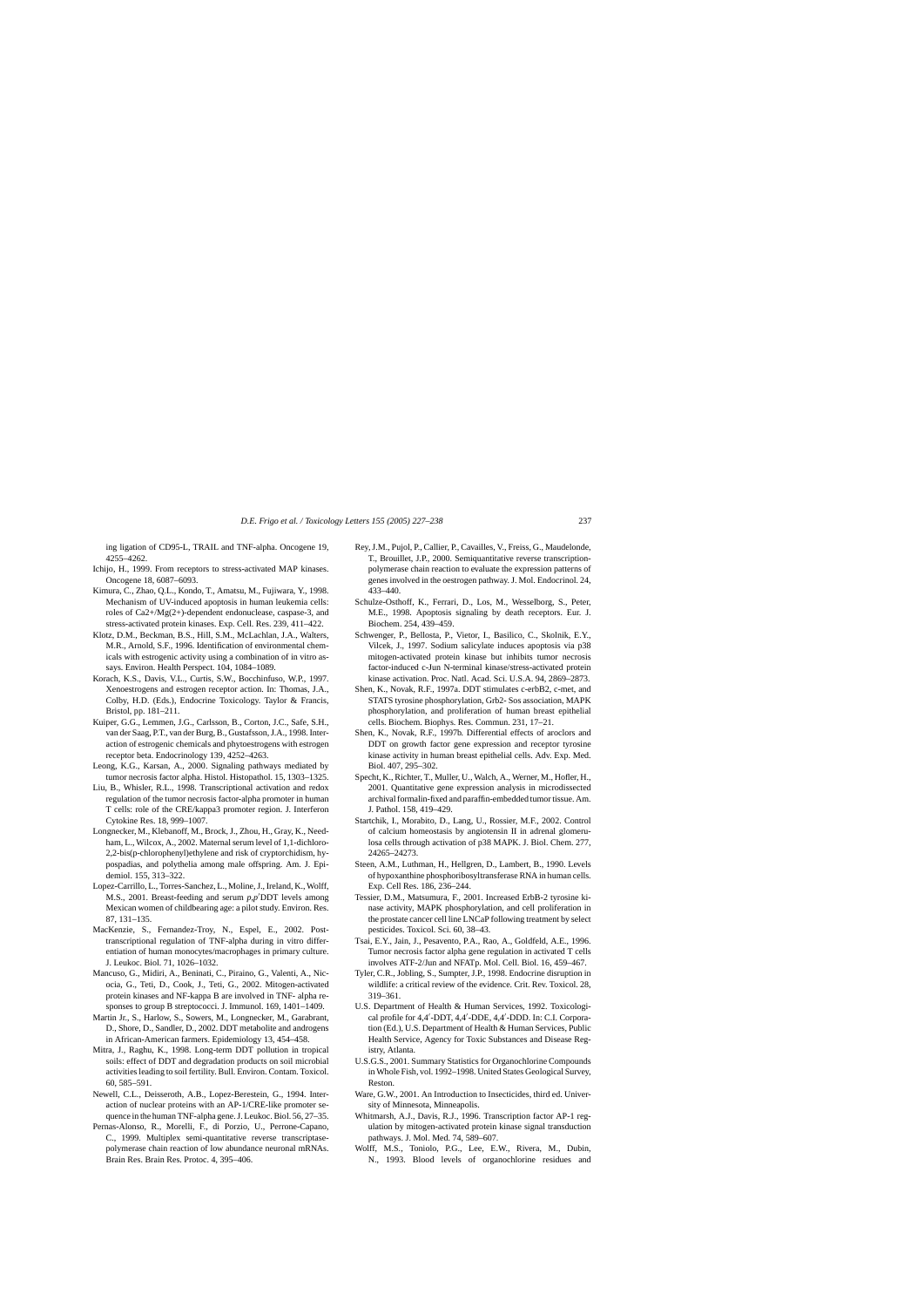<span id="page-10-0"></span>ing ligation of CD95-L, TRAIL and TNF-alpha. Oncogene 19, 4255–4262.

- Ichijo, H., 1999. From receptors to stress-activated MAP kinases. Oncogene 18, 6087–6093.
- Kimura, C., Zhao, Q.L., Kondo, T., Amatsu, M., Fujiwara, Y., 1998. Mechanism of UV-induced apoptosis in human leukemia cells: roles of Ca2+/Mg(2+)-dependent endonuclease, caspase-3, and stress-activated protein kinases. Exp. Cell. Res. 239, 411–422.
- Klotz, D.M., Beckman, B.S., Hill, S.M., McLachlan, J.A., Walters, M.R., Arnold, S.F., 1996. Identification of environmental chemicals with estrogenic activity using a combination of in vitro assays. Environ. Health Perspect. 104, 1084–1089.
- Korach, K.S., Davis, V.L., Curtis, S.W., Bocchinfuso, W.P., 1997. Xenoestrogens and estrogen receptor action. In: Thomas, J.A., Colby, H.D. (Eds.), Endocrine Toxicology. Taylor & Francis, Bristol, pp. 181–211.
- Kuiper, G.G., Lemmen, J.G., Carlsson, B., Corton, J.C., Safe, S.H., van der Saag, P.T., van der Burg, B., Gustafsson, J.A., 1998. Interaction of estrogenic chemicals and phytoestrogens with estrogen receptor beta. Endocrinology 139, 4252–4263.
- Leong, K.G., Karsan, A., 2000. Signaling pathways mediated by tumor necrosis factor alpha. Histol. Histopathol. 15, 1303–1325.
- Liu, B., Whisler, R.L., 1998. Transcriptional activation and redox regulation of the tumor necrosis factor-alpha promoter in human T cells: role of the CRE/kappa3 promoter region. J. Interferon Cytokine Res. 18, 999–1007.
- Longnecker, M., Klebanoff, M., Brock, J., Zhou, H., Gray, K., Needham, L., Wilcox, A., 2002. Maternal serum level of 1,1-dichloro-2,2-bis(p-chlorophenyl)ethylene and risk of cryptorchidism, hypospadias, and polythelia among male offspring. Am. J. Epidemiol. 155, 313–322.
- Lopez-Carrillo, L., Torres-Sanchez, L., Moline, J., Ireland, K., Wolff, M.S., 2001. Breast-feeding and serum  $p, p'$ DDT levels among Mexican women of childbearing age: a pilot study. Environ. Res. 87, 131–135.
- MacKenzie, S., Fernandez-Troy, N., Espel, E., 2002. Posttranscriptional regulation of TNF-alpha during in vitro differentiation of human monocytes/macrophages in primary culture. J. Leukoc. Biol. 71, 1026–1032.
- Mancuso, G., Midiri, A., Beninati, C., Piraino, G., Valenti, A., Nicocia, G., Teti, D., Cook, J., Teti, G., 2002. Mitogen-activated protein kinases and NF-kappa B are involved in TNF- alpha responses to group B streptococci. J. Immunol. 169, 1401–1409.
- Martin Jr., S., Harlow, S., Sowers, M., Longnecker, M., Garabrant, D., Shore, D., Sandler, D., 2002. DDT metabolite and androgens in African-American farmers. Epidemiology 13, 454–458.
- Mitra, J., Raghu, K., 1998. Long-term DDT pollution in tropical soils: effect of DDT and degradation products on soil microbial activities leading to soil fertility. Bull. Environ. Contam. Toxicol. 60, 585–591.
- Newell, C.L., Deisseroth, A.B., Lopez-Berestein, G., 1994. Interaction of nuclear proteins with an AP-1/CRE-like promoter sequence in the human TNF-alpha gene. J. Leukoc. Biol. 56, 27–35.
- Pernas-Alonso, R., Morelli, F., di Porzio, U., Perrone-Capano, C., 1999. Multiplex semi-quantitative reverse transcriptasepolymerase chain reaction of low abundance neuronal mRNAs. Brain Res. Brain Res. Protoc. 4, 395–406.
- Rey, J.M., Pujol, P., Callier, P., Cavailles, V., Freiss, G., Maudelonde, T., Brouillet, J.P., 2000. Semiquantitative reverse transcriptionpolymerase chain reaction to evaluate the expression patterns of genes involved in the oestrogen pathway. J. Mol. Endocrinol. 24, 433–440.
- Schulze-Osthoff, K., Ferrari, D., Los, M., Wesselborg, S., Peter, M.E., 1998. Apoptosis signaling by death receptors. Eur. J. Biochem. 254, 439–459.
- Schwenger, P., Bellosta, P., Vietor, I., Basilico, C., Skolnik, E.Y., Vilcek, J., 1997. Sodium salicylate induces apoptosis via p38 mitogen-activated protein kinase but inhibits tumor necrosis factor-induced c-Jun N-terminal kinase/stress-activated protein kinase activation. Proc. Natl. Acad. Sci. U.S.A. 94, 2869–2873.
- Shen, K., Novak, R.F., 1997a. DDT stimulates c-erbB2, c-met, and STATS tyrosine phosphorylation, Grb2- Sos association, MAPK phosphorylation, and proliferation of human breast epithelial cells. Biochem. Biophys. Res. Commun. 231, 17–21.
- Shen, K., Novak, R.F., 1997b. Differential effects of aroclors and DDT on growth factor gene expression and receptor tyrosine kinase activity in human breast epithelial cells. Adv. Exp. Med. Biol. 407, 295–302.
- Specht, K., Richter, T., Muller, U., Walch, A., Werner, M., Hofler, H., 2001. Quantitative gene expression analysis in microdissected archival formalin-fixed and paraffin-embedded tumor tissue. Am. J. Pathol. 158, 419–429.
- Startchik, I., Morabito, D., Lang, U., Rossier, M.F., 2002. Control of calcium homeostasis by angiotensin II in adrenal glomerulosa cells through activation of p38 MAPK. J. Biol. Chem. 277, 24265–24273.
- Steen, A.M., Luthman, H., Hellgren, D., Lambert, B., 1990. Levels of hypoxanthine phosphoribosyltransferase RNA in human cells. Exp. Cell Res. 186, 236–244.
- Tessier, D.M., Matsumura, F., 2001. Increased ErbB-2 tyrosine kinase activity, MAPK phosphorylation, and cell proliferation in the prostate cancer cell line LNCaP following treatment by select pesticides. Toxicol. Sci. 60, 38–43.
- Tsai, E.Y., Jain, J., Pesavento, P.A., Rao, A., Goldfeld, A.E., 1996. Tumor necrosis factor alpha gene regulation in activated T cells involves ATF-2/Jun and NFATp. Mol. Cell. Biol. 16, 459–467.
- Tyler, C.R., Jobling, S., Sumpter, J.P., 1998. Endocrine disruption in wildlife: a critical review of the evidence. Crit. Rev. Toxicol. 28, 319–361.
- U.S. Department of Health & Human Services, 1992. Toxicological profile for 4,4'-DDT, 4,4'-DDE, 4,4'-DDD. In: C.I. Corporation (Ed.), U.S. Department of Health & Human Services, Public Health Service, Agency for Toxic Substances and Disease Registry, Atlanta.
- U.S.G.S., 2001. Summary Statistics for Organochlorine Compounds in Whole Fish, vol. 1992–1998. United States Geological Survey, Reston.
- Ware, G.W., 2001. An Introduction to Insecticides, third ed. University of Minnesota, Minneapolis.
- Whitmarsh, A.J., Davis, R.J., 1996. Transcription factor AP-1 regulation by mitogen-activated protein kinase signal transduction pathways. J. Mol. Med. 74, 589–607.
- Wolff, M.S., Toniolo, P.G., Lee, E.W., Rivera, M., Dubin, N., 1993. Blood levels of organochlorine residues and